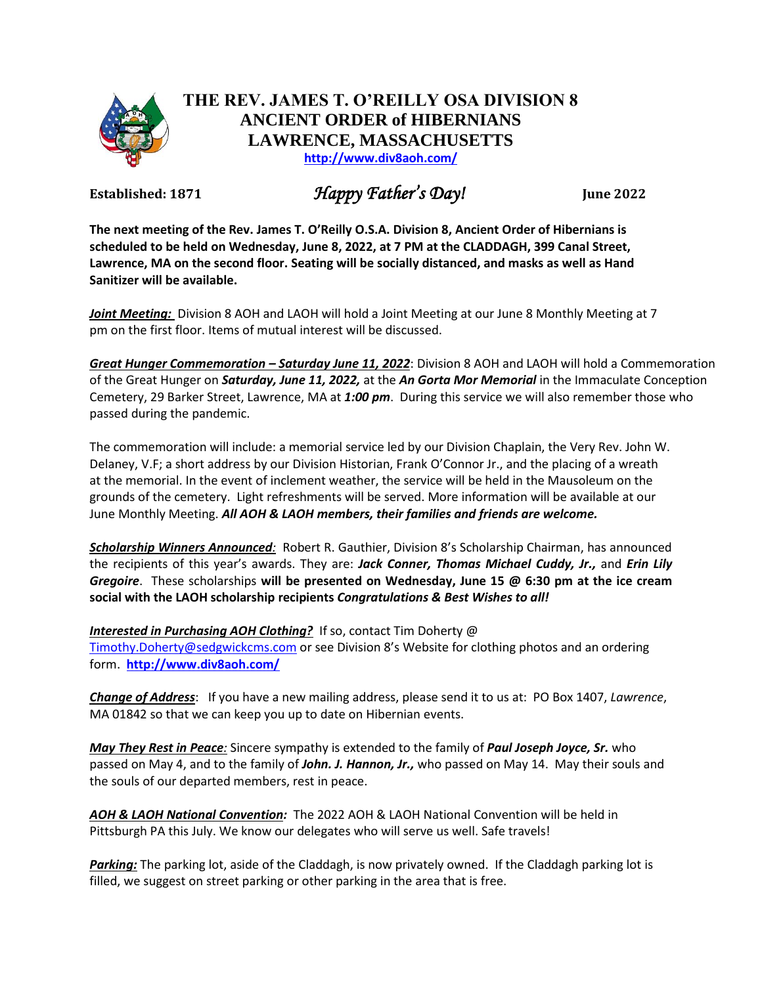

## **THE REV. JAMES T. O'REILLY OSA DIVISION 8 ANCIENT ORDER of HIBERNIANS LAWRENCE, MASSACHUSETTS <http://www.div8aoh.com/>**

**Established: 1871** *Happy Father's Day!* **June <sup>2022</sup>**

**The next meeting of the Rev. James T. O'Reilly O.S.A. Division 8, Ancient Order of Hibernians is scheduled to be held on Wednesday, June 8, 2022, at 7 PM at the CLADDAGH, 399 Canal Street, Lawrence, MA on the second floor. Seating will be socially distanced, and masks as well as Hand Sanitizer will be available.**

*Joint Meeting:* Division 8 AOH and LAOH will hold a Joint Meeting at our June 8 Monthly Meeting at 7 pm on the first floor. Items of mutual interest will be discussed.

*Great Hunger Commemoration – Saturday June 11, 2022*: Division 8 AOH and LAOH will hold a Commemoration of the Great Hunger on *Saturday, June 11, 2022,* at the *An Gorta Mor Memorial* in the Immaculate Conception Cemetery, 29 Barker Street, Lawrence, MA at *1:00 pm*. During this service we will also remember those who passed during the pandemic.

The commemoration will include: a memorial service led by our Division Chaplain, the Very Rev. John W. Delaney, V.F; a short address by our Division Historian, Frank O'Connor Jr., and the placing of a wreath at the memorial. In the event of inclement weather, the service will be held in the Mausoleum on the grounds of the cemetery. Light refreshments will be served. More information will be available at our June Monthly Meeting. *All AOH & LAOH members, their families and friends are welcome.*

*Scholarship Winners Announced:* Robert R. Gauthier, Division 8's Scholarship Chairman, has announced the recipients of this year's awards. They are: *Jack Conner, Thomas Michael Cuddy, Jr.,* and *Erin Lily Gregoire*. These scholarships **will be presented on Wednesday, June 15 @ 6:30 pm at the ice cream social with the LAOH scholarship recipients** *Congratulations & Best Wishes to all!*

*Interested in Purchasing AOH Clothing?* If so, contact Tim Doherty @ [Timothy.Doherty@sedgwickcms.com](mailto:Timothy.Doherty@sedgwickcms.com) or see Division 8's Website for clothing photos and an ordering form. **<http://www.div8aoh.com/>**

*Change of Address*: If you have a new mailing address, please send it to us at: PO Box 1407, *Lawrence*, MA 01842 so that we can keep you up to date on Hibernian events.

*May They Rest in Peace:* Sincere sympathy is extended to the family of *Paul Joseph Joyce, Sr.* who passed on May 4, and to the family of *John. J. Hannon, Jr.,* who passed on May 14. May their souls and the souls of our departed members, rest in peace.

*AOH & LAOH National Convention:* The 2022 AOH & LAOH National Convention will be held in Pittsburgh PA this July. We know our delegates who will serve us well. Safe travels!

*Parking:* The parking lot, aside of the Claddagh, is now privately owned. If the Claddagh parking lot is filled, we suggest on street parking or other parking in the area that is free.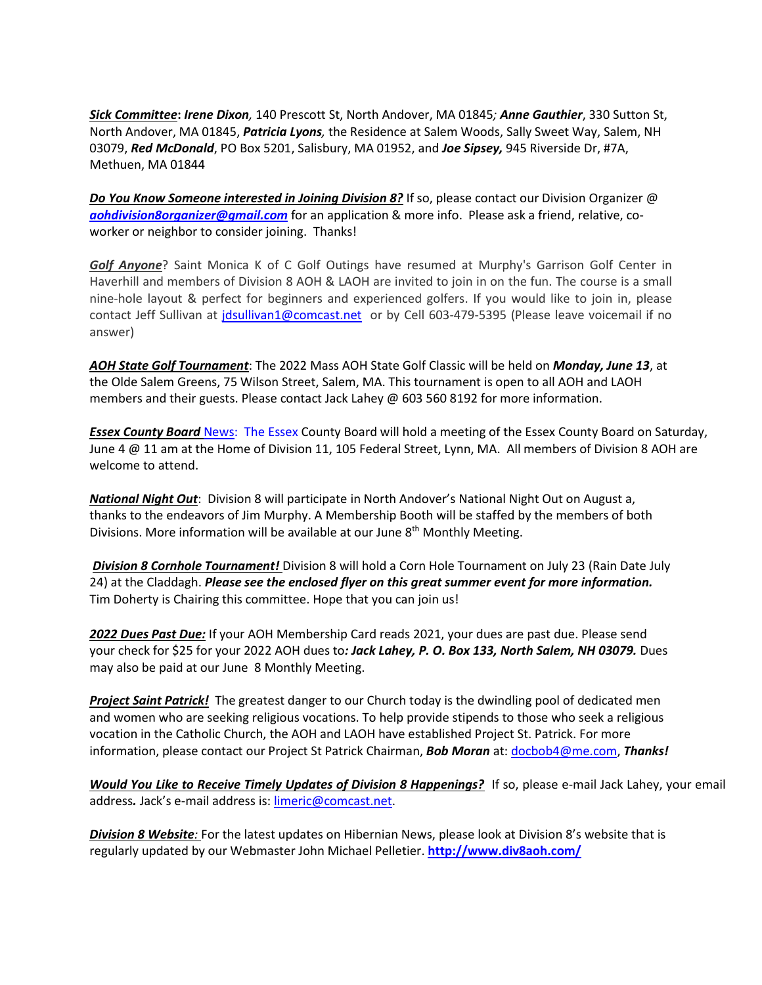*Sick Committee***:** *Irene Dixon,* 140 Prescott St, North Andover, MA 01845*; Anne Gauthier*, 330 Sutton St, North Andover, MA 01845, *Patricia Lyons,* the Residence at Salem Woods, Sally Sweet Way, Salem, NH 03079, *Red McDonald*, PO Box 5201, Salisbury, MA 01952, and *Joe Sipsey,* 945 Riverside Dr, #7A, Methuen, MA 01844

*Do You Know Someone interested in Joining Division 8?* If so, please contact our Division Organizer @ *[aohdivision8organizer@gmail.com](mailto:aohdivision8organizer@gmail.com)* for an application & more info. Please ask a friend, relative, coworker or neighbor to consider joining. Thanks!

*Golf Anyone*? Saint Monica K of C Golf Outings have resumed at Murphy's Garrison Golf Center in Haverhill and members of Division 8 AOH & LAOH are invited to join in on the fun. The course is a small nine-hole layout & perfect for beginners and experienced golfers. If you would like to join in, please contact Jeff Sullivan at [jdsullivan1@comcast.net](mailto:jdsullivan1@comcast.net) or by Cell 603-479-5395 (Please leave voicemail if no answer)

*AOH State Golf Tournament*: The 2022 Mass AOH State Golf Classic will be held on *Monday, June 13*, at the Olde Salem Greens, 75 Wilson Street, Salem, MA. This tournament is open to all AOH and LAOH members and their guests. Please contact Jack Lahey @ 603 560 8192 for more information.

*Essex County Board* [News:](News:Eseex) The Essex County Board will hold a meeting of the Essex County Board on Saturday, June 4 @ 11 am at the Home of Division 11, 105 Federal Street, Lynn, MA. All members of Division 8 AOH are welcome to attend.

*National Night Out*: Division 8 will participate in North Andover's National Night Out on August a, thanks to the endeavors of Jim Murphy. A Membership Booth will be staffed by the members of both Divisions. More information will be available at our June 8<sup>th</sup> Monthly Meeting.

*Division 8 Cornhole Tournament!* Division 8 will hold a Corn Hole Tournament on July 23 (Rain Date July 24) at the Claddagh. *Please see the enclosed flyer on this great summer event for more information.* Tim Doherty is Chairing this committee. Hope that you can join us!

*2022 Dues Past Due:* If your AOH Membership Card reads 2021, your dues are past due. Please send your check for \$25 for your 2022 AOH dues to*: Jack Lahey, P. O. Box 133, North Salem, NH 03079.* Dues may also be paid at our June 8 Monthly Meeting.

*Project Saint Patrick!* The greatest danger to our Church today is the dwindling pool of dedicated men and women who are seeking religious vocations. To help provide stipends to those who seek a religious vocation in the Catholic Church, the AOH and LAOH have established Project St. Patrick. For more information, please contact our Project St Patrick Chairman, *Bob Moran* at[: docbob4@me.com,](mailto:docbob4@me.com) *Thanks!*

*Would You Like to Receive Timely Updates of Division 8 Happenings?* If so, please e-mail Jack Lahey, your email address*.* Jack's e-mail address is: [limeric@comcast.net.](mailto:limeric@comcast.net)

*Division 8 Website:* For the latest updates on Hibernian News, please look at Division 8's website that is regularly updated by our Webmaster John Michael Pelletier. **<http://www.div8aoh.com/>**